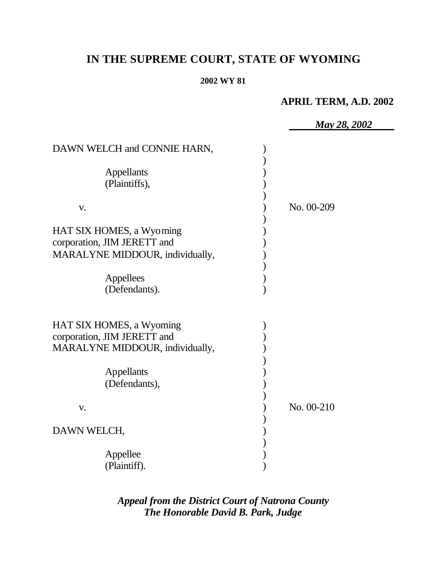# **IN THE SUPREME COURT, STATE OF WYOMING**

#### **2002 WY 81**

## **APRIL TERM, A.D. 2002**

|                                                                                            | May 28, 2002 |
|--------------------------------------------------------------------------------------------|--------------|
| DAWN WELCH and CONNIE HARN,                                                                |              |
| <b>Appellants</b><br>(Plaintiffs),                                                         |              |
| V.                                                                                         | No. 00-209   |
| HAT SIX HOMES, a Wyoming<br>corporation, JIM JERETT and<br>MARALYNE MIDDOUR, individually, |              |
| Appellees<br>(Defendants).                                                                 |              |
| HAT SIX HOMES, a Wyoming<br>corporation, JIM JERETT and<br>MARALYNE MIDDOUR, individually, |              |
| <b>Appellants</b><br>(Defendants),                                                         |              |
| V.                                                                                         | No. 00-210   |
| DAWN WELCH,                                                                                |              |
| Appellee<br>(Plaintiff).                                                                   |              |

*Appeal from the District Court of Natrona County The Honorable David B. Park, Judge*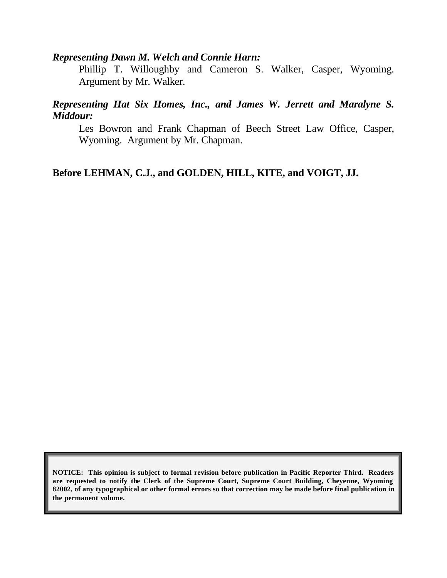### *Representing Dawn M. Welch and Connie Harn:*

Phillip T. Willoughby and Cameron S. Walker, Casper, Wyoming. Argument by Mr. Walker.

## *Representing Hat Six Homes, Inc., and James W. Jerrett and Maralyne S. Middour:*

Les Bowron and Frank Chapman of Beech Street Law Office, Casper, Wyoming. Argument by Mr. Chapman.

## **Before LEHMAN, C.J., and GOLDEN, HILL, KITE, and VOIGT, JJ.**

**NOTICE: This opinion is subject to formal revision before publication in Pacific Reporter Third. Readers are requested to notify the Clerk of the Supreme Court, Supreme Court Building, Cheyenne, Wyoming 82002, of any typographical or other formal errors so that correction may be made before final publication in the permanent volume.**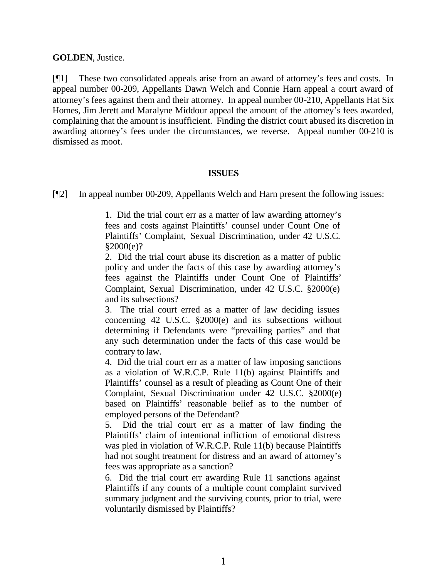#### **GOLDEN**, Justice.

[¶1] These two consolidated appeals arise from an award of attorney's fees and costs. In appeal number 00-209, Appellants Dawn Welch and Connie Harn appeal a court award of attorney's fees against them and their attorney. In appeal number 00-210, Appellants Hat Six Homes, Jim Jerett and Maralyne Middour appeal the amount of the attorney's fees awarded, complaining that the amount is insufficient. Finding the district court abused its discretion in awarding attorney's fees under the circumstances, we reverse. Appeal number 00-210 is dismissed as moot.

#### **ISSUES**

[¶2] In appeal number 00-209, Appellants Welch and Harn present the following issues:

1. Did the trial court err as a matter of law awarding attorney's fees and costs against Plaintiffs' counsel under Count One of Plaintiffs' Complaint, Sexual Discrimination, under 42 U.S.C.  $§2000(e)?$ 

2. Did the trial court abuse its discretion as a matter of public policy and under the facts of this case by awarding attorney's fees against the Plaintiffs under Count One of Plaintiffs' Complaint, Sexual Discrimination, under 42 U.S.C. §2000(e) and its subsections?

3. The trial court erred as a matter of law deciding issues concerning 42 U.S.C. §2000(e) and its subsections without determining if Defendants were "prevailing parties" and that any such determination under the facts of this case would be contrary to law.

4. Did the trial court err as a matter of law imposing sanctions as a violation of W.R.C.P. Rule 11(b) against Plaintiffs and Plaintiffs' counsel as a result of pleading as Count One of their Complaint, Sexual Discrimination under 42 U.S.C. §2000(e) based on Plaintiffs' reasonable belief as to the number of employed persons of the Defendant?

5. Did the trial court err as a matter of law finding the Plaintiffs' claim of intentional infliction of emotional distress was pled in violation of W.R.C.P. Rule 11(b) because Plaintiffs had not sought treatment for distress and an award of attorney's fees was appropriate as a sanction?

6. Did the trial court err awarding Rule 11 sanctions against Plaintiffs if any counts of a multiple count complaint survived summary judgment and the surviving counts, prior to trial, were voluntarily dismissed by Plaintiffs?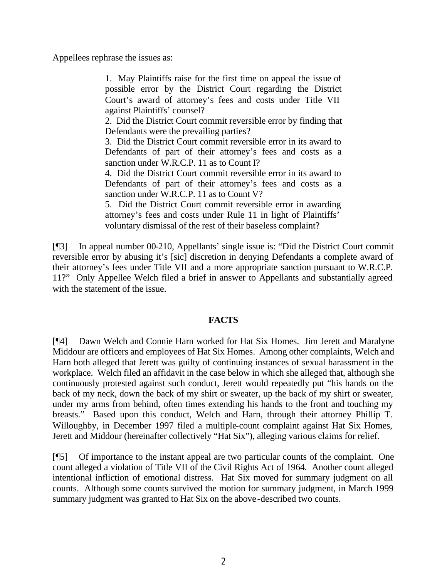Appellees rephrase the issues as:

1. May Plaintiffs raise for the first time on appeal the issue of possible error by the District Court regarding the District Court's award of attorney's fees and costs under Title VII against Plaintiffs' counsel? 2. Did the District Court commit reversible error by finding that Defendants were the prevailing parties? 3. Did the District Court commit reversible error in its award to Defendants of part of their attorney's fees and costs as a sanction under W.R.C.P. 11 as to Count I? 4. Did the District Court commit reversible error in its award to Defendants of part of their attorney's fees and costs as a sanction under W.R.C.P. 11 as to Count V? 5. Did the District Court commit reversible error in awarding attorney's fees and costs under Rule 11 in light of Plaintiffs' voluntary dismissal of the rest of their baseless complaint?

[¶3] In appeal number 00-210, Appellants' single issue is: "Did the District Court commit reversible error by abusing it's [sic] discretion in denying Defendants a complete award of their attorney's fees under Title VII and a more appropriate sanction pursuant to W.R.C.P. 11?" Only Appellee Welch filed a brief in answer to Appellants and substantially agreed with the statement of the issue.

#### **FACTS**

[¶4] Dawn Welch and Connie Harn worked for Hat Six Homes. Jim Jerett and Maralyne Middour are officers and employees of Hat Six Homes. Among other complaints, Welch and Harn both alleged that Jerett was guilty of continuing instances of sexual harassment in the workplace. Welch filed an affidavit in the case below in which she alleged that, although she continuously protested against such conduct, Jerett would repeatedly put "his hands on the back of my neck, down the back of my shirt or sweater, up the back of my shirt or sweater, under my arms from behind, often times extending his hands to the front and touching my breasts." Based upon this conduct, Welch and Harn, through their attorney Phillip T. Willoughby, in December 1997 filed a multiple-count complaint against Hat Six Homes, Jerett and Middour (hereinafter collectively "Hat Six"), alleging various claims for relief.

[¶5] Of importance to the instant appeal are two particular counts of the complaint. One count alleged a violation of Title VII of the Civil Rights Act of 1964. Another count alleged intentional infliction of emotional distress. Hat Six moved for summary judgment on all counts. Although some counts survived the motion for summary judgment, in March 1999 summary judgment was granted to Hat Six on the above-described two counts.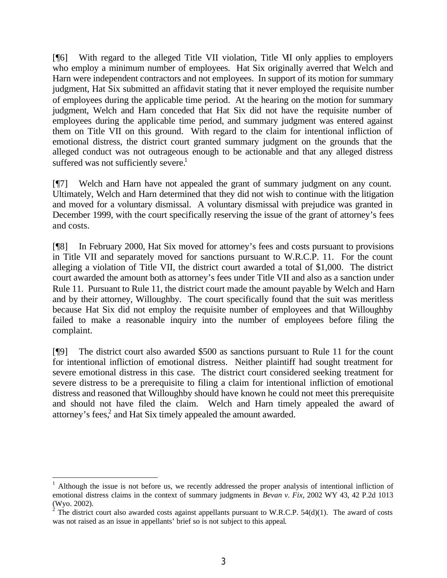[¶6] With regard to the alleged Title VII violation, Title VII only applies to employers who employ a minimum number of employees. Hat Six originally averred that Welch and Harn were independent contractors and not employees. In support of its motion for summary judgment, Hat Six submitted an affidavit stating that it never employed the requisite number of employees during the applicable time period. At the hearing on the motion for summary judgment, Welch and Harn conceded that Hat Six did not have the requisite number of employees during the applicable time period, and summary judgment was entered against them on Title VII on this ground. With regard to the claim for intentional infliction of emotional distress, the district court granted summary judgment on the grounds that the alleged conduct was not outrageous enough to be actionable and that any alleged distress suffered was not sufficiently severe.<sup>1</sup>

[¶7] Welch and Harn have not appealed the grant of summary judgment on any count. Ultimately, Welch and Harn determined that they did not wish to continue with the litigation and moved for a voluntary dismissal. A voluntary dismissal with prejudice was granted in December 1999, with the court specifically reserving the issue of the grant of attorney's fees and costs.

[¶8] In February 2000, Hat Six moved for attorney's fees and costs pursuant to provisions in Title VII and separately moved for sanctions pursuant to W.R.C.P. 11. For the count alleging a violation of Title VII, the district court awarded a total of \$1,000. The district court awarded the amount both as attorney's fees under Title VII and also as a sanction under Rule 11. Pursuant to Rule 11, the district court made the amount payable by Welch and Harn and by their attorney, Willoughby. The court specifically found that the suit was meritless because Hat Six did not employ the requisite number of employees and that Willoughby failed to make a reasonable inquiry into the number of employees before filing the complaint.

[¶9] The district court also awarded \$500 as sanctions pursuant to Rule 11 for the count for intentional infliction of emotional distress. Neither plaintiff had sought treatment for severe emotional distress in this case. The district court considered seeking treatment for severe distress to be a prerequisite to filing a claim for intentional infliction of emotional distress and reasoned that Willoughby should have known he could not meet this prerequisite and should not have filed the claim. Welch and Harn timely appealed the award of attorney's fees, $2$  and Hat Six timely appealed the amount awarded.

<sup>&</sup>lt;sup>1</sup> Although the issue is not before us, we recently addressed the proper analysis of intentional infliction of emotional distress claims in the context of summary judgments in *Bevan v. Fix*, 2002 WY 43, 42 P.2d 1013

<sup>(</sup>Wyo. 2002).<br><sup>2</sup> The district court also awarded costs against appellants pursuant to W.R.C.P. 54(d)(1). The award of costs was not raised as an issue in appellants' brief so is not subject to this appeal.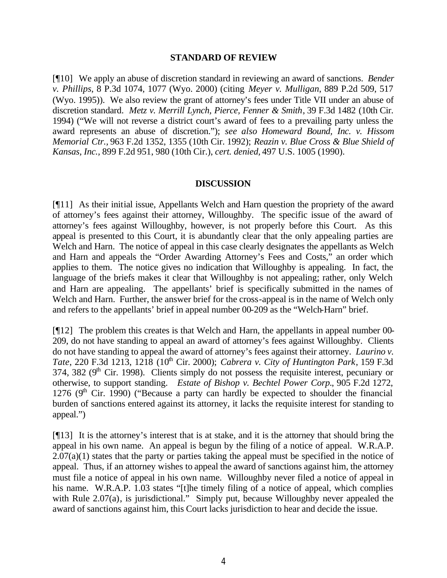#### **STANDARD OF REVIEW**

[¶10] We apply an abuse of discretion standard in reviewing an award of sanctions. *Bender v. Phillips*, 8 P.3d 1074, 1077 (Wyo. 2000) (citing *Meyer v. Mulligan*, 889 P.2d 509, 517 (Wyo. 1995)). We also review the grant of attorney's fees under Title VII under an abuse of discretion standard. *Metz v. Merrill Lynch, Pierce, Fenner & Smith*, 39 F.3d 1482 (10th Cir. 1994) ("We will not reverse a district court's award of fees to a prevailing party unless the award represents an abuse of discretion."); *see also Homeward Bound, Inc. v. Hissom Memorial Ctr.,* 963 F.2d 1352, 1355 (10th Cir. 1992); *Reazin v. Blue Cross & Blue Shield of Kansas, Inc.,* 899 F.2d 951, 980 (10th Cir.), *cert. denied,* 497 U.S. 1005 (1990).

#### **DISCUSSION**

[¶11] As their initial issue, Appellants Welch and Harn question the propriety of the award of attorney's fees against their attorney, Willoughby. The specific issue of the award of attorney's fees against Willoughby, however, is not properly before this Court. As this appeal is presented to this Court, it is abundantly clear that the only appealing parties are Welch and Harn. The notice of appeal in this case clearly designates the appellants as Welch and Harn and appeals the "Order Awarding Attorney's Fees and Costs," an order which applies to them. The notice gives no indication that Willoughby is appealing. In fact, the language of the briefs makes it clear that Willoughby is not appealing; rather, only Welch and Harn are appealing. The appellants' brief is specifically submitted in the names of Welch and Harn. Further, the answer brief for the cross-appeal is in the name of Welch only and refers to the appellants' brief in appeal number 00-209 as the "Welch-Harn" brief.

[¶12] The problem this creates is that Welch and Harn, the appellants in appeal number 00- 209, do not have standing to appeal an award of attorney's fees against Willoughby. Clients do not have standing to appeal the award of attorney's fees against their attorney. *Laurino v. Tate*, 220 F.3d 1213, 1218 (10<sup>th</sup> Cir. 2000); *Cabrera v. City of Huntington Park*, 159 F.3d 374, 382 ( $9<sup>th</sup>$  Cir. 1998). Clients simply do not possess the requisite interest, pecuniary or otherwise, to support standing. *Estate of Bishop v. Bechtel Power Corp.*, 905 F.2d 1272, 1276 ( $9<sup>th</sup>$  Cir. 1990) ("Because a party can hardly be expected to shoulder the financial burden of sanctions entered against its attorney, it lacks the requisite interest for standing to appeal.")

 $\lceil \cdot \rceil$  13] It is the attorney's interest that is at stake, and it is the attorney that should bring the appeal in his own name. An appeal is begun by the filing of a notice of appeal. W.R.A.P.  $2.07(a)(1)$  states that the party or parties taking the appeal must be specified in the notice of appeal. Thus, if an attorney wishes to appeal the award of sanctions against him, the attorney must file a notice of appeal in his own name. Willoughby never filed a notice of appeal in his name. W.R.A.P. 1.03 states "[t]he timely filing of a notice of appeal, which complies with Rule 2.07(a), is jurisdictional." Simply put, because Willoughby never appealed the award of sanctions against him, this Court lacks jurisdiction to hear and decide the issue.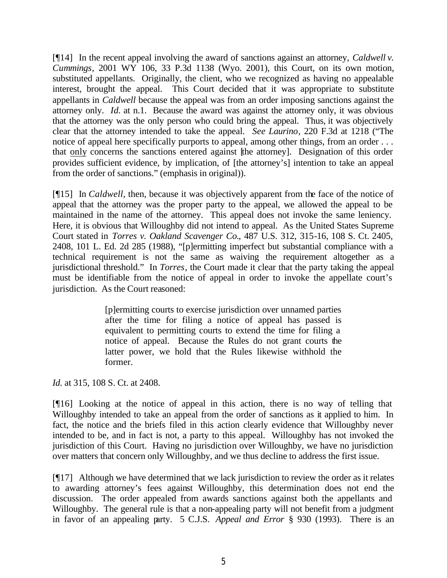[¶14] In the recent appeal involving the award of sanctions against an attorney, *Caldwell v. Cummings*, 2001 WY 106, 33 P.3d 1138 (Wyo. 2001), this Court, on its own motion, substituted appellants. Originally, the client, who we recognized as having no appealable interest, brought the appeal. This Court decided that it was appropriate to substitute appellants in *Caldwell* because the appeal was from an order imposing sanctions against the attorney only. *Id.* at n.1. Because the award was against the attorney only, it was obvious that the attorney was the only person who could bring the appeal. Thus, it was objectively clear that the attorney intended to take the appeal. *See Laurino*, 220 F.3d at 1218 ("The notice of appeal here specifically purports to appeal, among other things, from an order ... that only concerns the sanctions entered against [the attorney]. Designation of this order provides sufficient evidence, by implication, of [the attorney's] intention to take an appeal from the order of sanctions." (emphasis in original)).

[¶15] In *Caldwell*, then, because it was objectively apparent from the face of the notice of appeal that the attorney was the proper party to the appeal, we allowed the appeal to be maintained in the name of the attorney. This appeal does not invoke the same leniency. Here, it is obvious that Willoughby did not intend to appeal. As the United States Supreme Court stated in *Torres v. Oakland Scavenger Co.*, 487 U.S. 312, 315-16, 108 S. Ct. 2405, 2408, 101 L. Ed. 2d 285 (1988), "[p]ermitting imperfect but substantial compliance with a technical requirement is not the same as waiving the requirement altogether as a jurisdictional threshold." In *Torres*, the Court made it clear that the party taking the appeal must be identifiable from the notice of appeal in order to invoke the appellate court's jurisdiction. As the Court reasoned:

> [p]ermitting courts to exercise jurisdiction over unnamed parties after the time for filing a notice of appeal has passed is equivalent to permitting courts to extend the time for filing a notice of appeal. Because the Rules do not grant courts the latter power, we hold that the Rules likewise withhold the former.

*Id.* at 315, 108 S. Ct. at 2408.

[¶16] Looking at the notice of appeal in this action, there is no way of telling that Willoughby intended to take an appeal from the order of sanctions as it applied to him. In fact, the notice and the briefs filed in this action clearly evidence that Willoughby never intended to be, and in fact is not, a party to this appeal. Willoughby has not invoked the jurisdiction of this Court. Having no jurisdiction over Willoughby, we have no jurisdiction over matters that concern only Willoughby, and we thus decline to address the first issue.

[¶17] Although we have determined that we lack jurisdiction to review the order as it relates to awarding attorney's fees against Willoughby, this determination does not end the discussion. The order appealed from awards sanctions against both the appellants and Willoughby. The general rule is that a non-appealing party will not benefit from a judgment in favor of an appealing party. 5 C.J.S. *Appeal and Error* § 930 (1993). There is an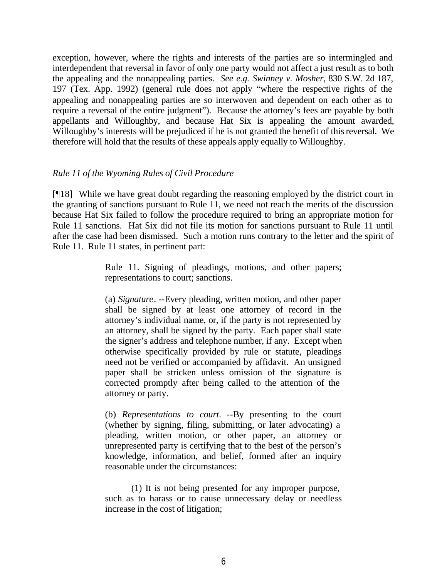exception, however, where the rights and interests of the parties are so intermingled and interdependent that reversal in favor of only one party would not affect a just result as to both the appealing and the nonappealing parties. *See e.g. Swinney v. Mosher*, 830 S.W. 2d 187, 197 (Tex. App. 1992) (general rule does not apply "where the respective rights of the appealing and nonappealing parties are so interwoven and dependent on each other as to require a reversal of the entire judgment"). Because the attorney's fees are payable by both appellants and Willoughby, and because Hat Six is appealing the amount awarded, Willoughby's interests will be prejudiced if he is not granted the benefit of this reversal. We therefore will hold that the results of these appeals apply equally to Willoughby.

#### *Rule 11 of the Wyoming Rules of Civil Procedure*

[¶18] While we have great doubt regarding the reasoning employed by the district court in the granting of sanctions pursuant to Rule 11, we need not reach the merits of the discussion because Hat Six failed to follow the procedure required to bring an appropriate motion for Rule 11 sanctions. Hat Six did not file its motion for sanctions pursuant to Rule 11 until after the case had been dismissed. Such a motion runs contrary to the letter and the spirit of Rule 11. Rule 11 states, in pertinent part:

> Rule 11. Signing of pleadings, motions, and other papers; representations to court; sanctions.

> (a) *Signature*. --Every pleading, written motion, and other paper shall be signed by at least one attorney of record in the attorney's individual name, or, if the party is not represented by an attorney, shall be signed by the party. Each paper shall state the signer's address and telephone number, if any. Except when otherwise specifically provided by rule or statute, pleadings need not be verified or accompanied by affidavit. An unsigned paper shall be stricken unless omission of the signature is corrected promptly after being called to the attention of the attorney or party.

> (b) *Representations to court*. --By presenting to the court (whether by signing, filing, submitting, or later advocating) a pleading, written motion, or other paper, an attorney or unrepresented party is certifying that to the best of the person's knowledge, information, and belief, formed after an inquiry reasonable under the circumstances:

> (1) It is not being presented for any improper purpose, such as to harass or to cause unnecessary delay or needless increase in the cost of litigation;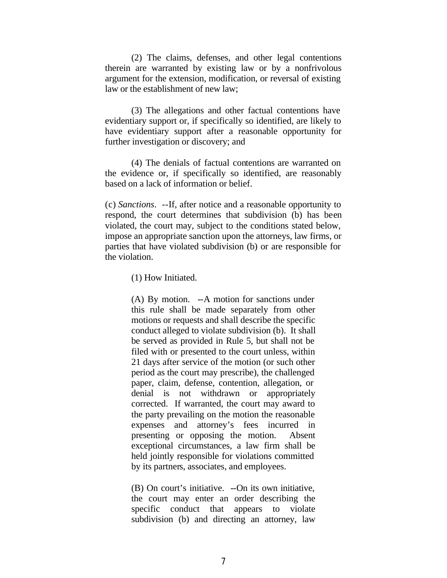(2) The claims, defenses, and other legal contentions therein are warranted by existing law or by a nonfrivolous argument for the extension, modification, or reversal of existing law or the establishment of new law;

(3) The allegations and other factual contentions have evidentiary support or, if specifically so identified, are likely to have evidentiary support after a reasonable opportunity for further investigation or discovery; and

(4) The denials of factual contentions are warranted on the evidence or, if specifically so identified, are reasonably based on a lack of information or belief.

(c) *Sanctions*. --If, after notice and a reasonable opportunity to respond, the court determines that subdivision (b) has been violated, the court may, subject to the conditions stated below, impose an appropriate sanction upon the attorneys, law firms, or parties that have violated subdivision (b) or are responsible for the violation.

(1) How Initiated.

(A) By motion. --A motion for sanctions under this rule shall be made separately from other motions or requests and shall describe the specific conduct alleged to violate subdivision (b). It shall be served as provided in Rule 5, but shall not be filed with or presented to the court unless, within 21 days after service of the motion (or such other period as the court may prescribe), the challenged paper, claim, defense, contention, allegation, or denial is not withdrawn or appropriately corrected. If warranted, the court may award to the party prevailing on the motion the reasonable expenses and attorney's fees incurred in presenting or opposing the motion. Absent exceptional circumstances, a law firm shall be held jointly responsible for violations committed by its partners, associates, and employees.

(B) On court's initiative. --On its own initiative, the court may enter an order describing the specific conduct that appears to violate subdivision (b) and directing an attorney, law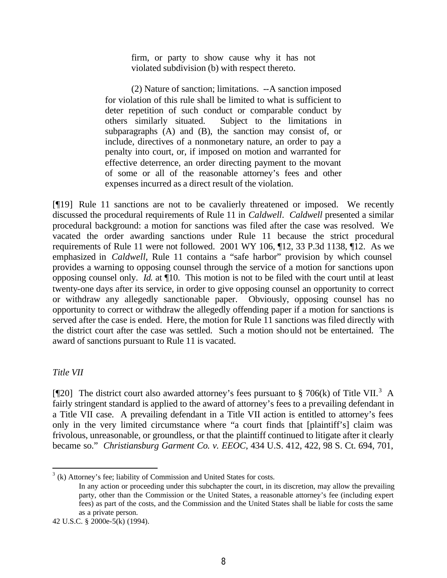firm, or party to show cause why it has not violated subdivision (b) with respect thereto.

(2) Nature of sanction; limitations. --A sanction imposed for violation of this rule shall be limited to what is sufficient to deter repetition of such conduct or comparable conduct by others similarly situated. Subject to the limitations in subparagraphs (A) and (B), the sanction may consist of, or include, directives of a nonmonetary nature, an order to pay a penalty into court, or, if imposed on motion and warranted for effective deterrence, an order directing payment to the movant of some or all of the reasonable attorney's fees and other expenses incurred as a direct result of the violation.

[¶19] Rule 11 sanctions are not to be cavalierly threatened or imposed. We recently discussed the procedural requirements of Rule 11 in *Caldwell*. *Caldwell* presented a similar procedural background: a motion for sanctions was filed after the case was resolved. We vacated the order awarding sanctions under Rule 11 because the strict procedural requirements of Rule 11 were not followed. 2001 WY 106, ¶12, 33 P.3d 1138, ¶12. As we emphasized in *Caldwell*, Rule 11 contains a "safe harbor" provision by which counsel provides a warning to opposing counsel through the service of a motion for sanctions upon opposing counsel only. *Id.* at ¶10. This motion is not to be filed with the court until at least twenty-one days after its service, in order to give opposing counsel an opportunity to correct or withdraw any allegedly sanctionable paper. Obviously, opposing counsel has no opportunity to correct or withdraw the allegedly offending paper if a motion for sanctions is served after the case is ended. Here, the motion for Rule 11 sanctions was filed directly with the district court after the case was settled. Such a motion should not be entertained. The award of sanctions pursuant to Rule 11 is vacated.

#### *Title VII*

[¶20] The district court also awarded attorney's fees pursuant to § 706(k) of Title VII.<sup>3</sup> A fairly stringent standard is applied to the award of attorney's fees to a prevailing defendant in a Title VII case. A prevailing defendant in a Title VII action is entitled to attorney's fees only in the very limited circumstance where "a court finds that [plaintiff's] claim was frivolous, unreasonable, or groundless, or that the plaintiff continued to litigate after it clearly became so." *Christiansburg Garment Co. v. EEOC*, 434 U.S. 412, 422, 98 S. Ct. 694, 701,

 $3$  (k) Attorney's fee; liability of Commission and United States for costs.

In any action or proceeding under this subchapter the court, in its discretion, may allow the prevailing party, other than the Commission or the United States, a reasonable attorney's fee (including expert fees) as part of the costs, and the Commission and the United States shall be liable for costs the same as a private person.

<sup>42</sup> U.S.C. § 2000e-5(k) (1994).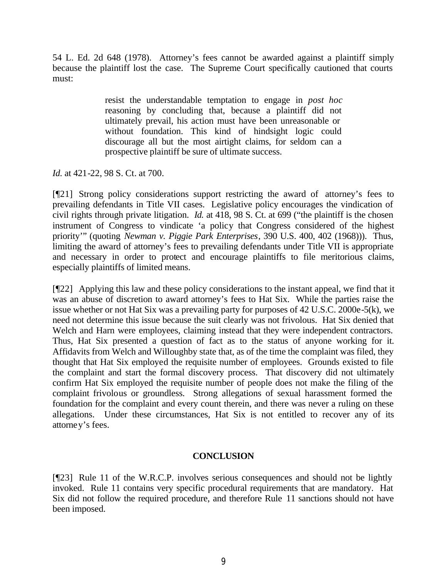54 L. Ed. 2d 648 (1978). Attorney's fees cannot be awarded against a plaintiff simply because the plaintiff lost the case. The Supreme Court specifically cautioned that courts must:

> resist the understandable temptation to engage in *post hoc* reasoning by concluding that, because a plaintiff did not ultimately prevail, his action must have been unreasonable or without foundation. This kind of hindsight logic could discourage all but the most airtight claims, for seldom can a prospective plaintiff be sure of ultimate success.

*Id.* at 421-22, 98 S. Ct. at 700.

[¶21] Strong policy considerations support restricting the award of attorney's fees to prevailing defendants in Title VII cases. Legislative policy encourages the vindication of civil rights through private litigation. *Id.* at 418, 98 S. Ct. at 699 ("the plaintiff is the chosen instrument of Congress to vindicate 'a policy that Congress considered of the highest priority'" (quoting *Newman v. Piggie Park Enterprises*, 390 U.S. 400, 402 (1968))). Thus, limiting the award of attorney's fees to prevailing defendants under Title VII is appropriate and necessary in order to protect and encourage plaintiffs to file meritorious claims, especially plaintiffs of limited means.

[¶22] Applying this law and these policy considerations to the instant appeal, we find that it was an abuse of discretion to award attorney's fees to Hat Six. While the parties raise the issue whether or not Hat Six was a prevailing party for purposes of 42 U.S.C. 2000e-5(k), we need not determine this issue because the suit clearly was not frivolous. Hat Six denied that Welch and Harn were employees, claiming instead that they were independent contractors. Thus, Hat Six presented a question of fact as to the status of anyone working for it. Affidavits from Welch and Willoughby state that, as of the time the complaint was filed, they thought that Hat Six employed the requisite number of employees. Grounds existed to file the complaint and start the formal discovery process. That discovery did not ultimately confirm Hat Six employed the requisite number of people does not make the filing of the complaint frivolous or groundless. Strong allegations of sexual harassment formed the foundation for the complaint and every count therein, and there was never a ruling on these allegations. Under these circumstances, Hat Six is not entitled to recover any of its attorney's fees.

## **CONCLUSION**

[¶23] Rule 11 of the W.R.C.P. involves serious consequences and should not be lightly invoked. Rule 11 contains very specific procedural requirements that are mandatory. Hat Six did not follow the required procedure, and therefore Rule 11 sanctions should not have been imposed.